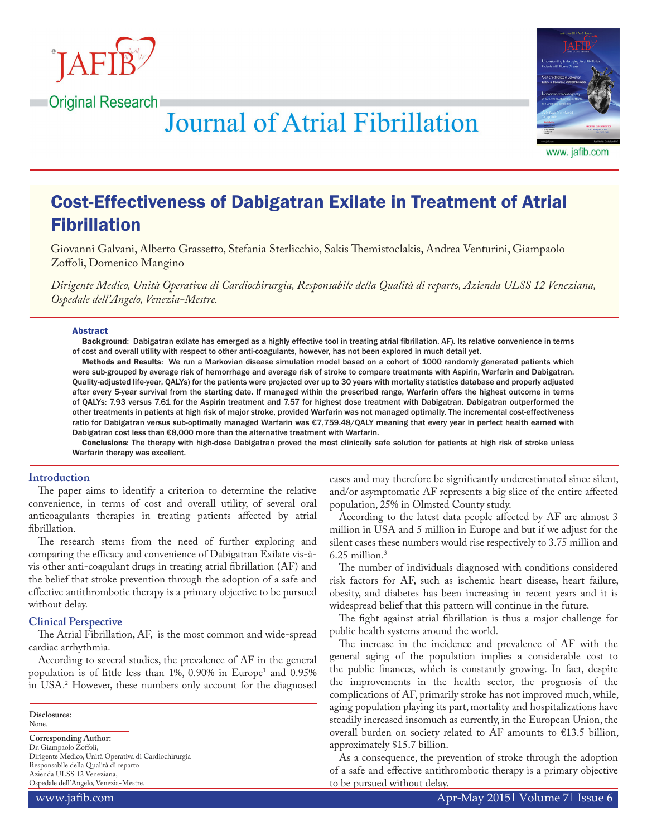

**Original Research** 



**Journal of Atrial Fibrillation** 

www. jafib.com

# Cost-Effectiveness of Dabigatran Exilate in Treatment of Atrial Fibrillation

Giovanni Galvani, Alberto Grassetto, Stefania Sterlicchio, Sakis Themistoclakis, Andrea Venturini, Giampaolo Zoffoli, Domenico Mangino

*Dirigente Medico, Unità Operativa di Cardiochirurgia, Responsabile della Qualità di reparto, Azienda ULSS 12 Veneziana, Ospedale dell'Angelo, Venezia-Mestre.*

#### Abstract

Background: Dabigatran exilate has emerged as a highly effective tool in treating atrial fibrillation, AF). Its relative convenience in terms of cost and overall utility with respect to other anti-coagulants, however, has not been explored in much detail yet.

Methods and Results: We run a Markovian disease simulation model based on a cohort of 1000 randomly generated patients which were sub-grouped by average risk of hemorrhage and average risk of stroke to compare treatments with Aspirin, Warfarin and Dabigatran. Quality-adjusted life-year, QALYs) for the patients were projected over up to 30 years with mortality statistics database and properly adjusted after every 5-year survival from the starting date. If managed within the prescribed range, Warfarin offers the highest outcome in terms of QALYs: 7.93 versus 7.61 for the Aspirin treatment and 7.57 for highest dose treatment with Dabigatran. Dabigatran outperformed the other treatments in patients at high risk of major stroke, provided Warfarin was not managed optimally. The incremental cost-effectiveness ratio for Dabigatran versus sub-optimally managed Warfarin was €7,759.48/QALY meaning that every year in perfect health earned with Dabigatran cost less than €8,000 more than the alternative treatment with Warfarin.

Conclusions: The therapy with high-dose Dabigatran proved the most clinically safe solution for patients at high risk of stroke unless Warfarin therapy was excellent.

## **Introduction**

The paper aims to identify a criterion to determine the relative convenience, in terms of cost and overall utility, of several oral anticoagulants therapies in treating patients affected by atrial fibrillation.

The research stems from the need of further exploring and comparing the efficacy and convenience of Dabigatran Exilate vis-àvis other anti-coagulant drugs in treating atrial fibrillation (AF) and the belief that stroke prevention through the adoption of a safe and effective antithrombotic therapy is a primary objective to be pursued without delay.

## **Clinical Perspective**

The Atrial Fibrillation, AF, is the most common and wide-spread cardiac arrhythmia.

According to several studies, the prevalence of AF in the general population is of little less than  $1\%$ , 0.90% in Europe<sup>1</sup> and 0.95% in USA.2 However, these numbers only account for the diagnosed

**Disclosures:** None.

## **Corresponding Author:**

Dr. Giampaolo Zoffoli, Dirigente Medico, Unità Operativa di Cardiochirurgia Responsabile della Qualità di reparto Azienda ULSS 12 Veneziana, Ospedale dell'Angelo, Venezia-Mestre.

cases and may therefore be significantly underestimated since silent, and/or asymptomatic AF represents a big slice of the entire affected population, 25% in Olmsted County study.

According to the latest data people affected by AF are almost 3 million in USA and 5 million in Europe and but if we adjust for the silent cases these numbers would rise respectively to 3.75 million and  $6.25$  million. $3$ 

The number of individuals diagnosed with conditions considered risk factors for AF, such as ischemic heart disease, heart failure, obesity, and diabetes has been increasing in recent years and it is widespread belief that this pattern will continue in the future.

The fight against atrial fibrillation is thus a major challenge for public health systems around the world.

The increase in the incidence and prevalence of AF with the general aging of the population implies a considerable cost to the public finances, which is constantly growing. In fact, despite the improvements in the health sector, the prognosis of the complications of AF, primarily stroke has not improved much, while, aging population playing its part, mortality and hospitalizations have steadily increased insomuch as currently, in the European Union, the overall burden on society related to AF amounts to €13.5 billion, approximately \$15.7 billion.

As a consequence, the prevention of stroke through the adoption of a safe and effective antithrombotic therapy is a primary objective to be pursued without delay.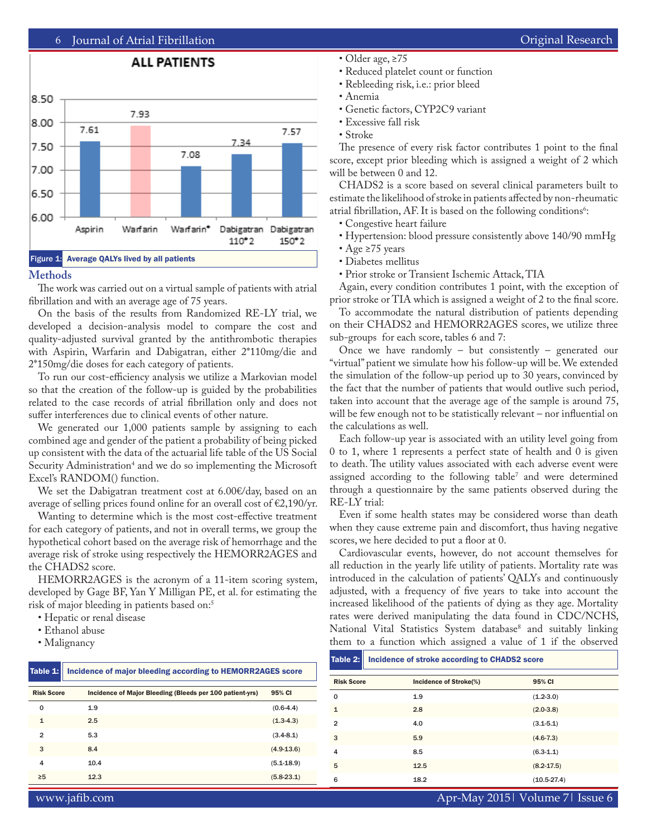

#### **Methods**

The work was carried out on a virtual sample of patients with atrial fibrillation and with an average age of 75 years.

On the basis of the results from Randomized RE-LY trial, we developed a decision-analysis model to compare the cost and quality-adjusted survival granted by the antithrombotic therapies with Aspirin, Warfarin and Dabigatran, either 2\*110mg/die and 2\*150mg/die doses for each category of patients.

To run our cost-efficiency analysis we utilize a Markovian model so that the creation of the follow-up is guided by the probabilities related to the case records of atrial fibrillation only and does not suffer interferences due to clinical events of other nature.

We generated our 1,000 patients sample by assigning to each combined age and gender of the patient a probability of being picked up consistent with the data of the actuarial life table of the US Social Security Administration4 and we do so implementing the Microsoft Excel's RANDOM() function.

We set the Dabigatran treatment cost at 6.00€/day, based on an average of selling prices found online for an overall cost of €2,190/yr.

Wanting to determine which is the most cost-effective treatment for each category of patients, and not in overall terms, we group the hypothetical cohort based on the average risk of hemorrhage and the average risk of stroke using respectively the HEMORR2AGES and the CHADS2 score.

HEMORR2AGES is the acronym of a 11-item scoring system, developed by Gage BF, Yan Y Milligan PE, et al. for estimating the risk of major bleeding in patients based on:<sup>5</sup>

• Hepatic or renal disease

- Ethanol abuse
- Malignancy

| Table 1:          | Incidence of major bleeding according to HEMORR2AGES score |                |  |  |
|-------------------|------------------------------------------------------------|----------------|--|--|
| <b>Risk Score</b> | Incidence of Major Bleeding (Bleeds per 100 patient-yrs)   | 95% CI         |  |  |
| $\Omega$          | 1.9                                                        | $(0.6-4.4)$    |  |  |
| $\mathbf{1}$      | 2.5                                                        | $(1.3-4.3)$    |  |  |
| $\mathfrak{p}$    | 5.3                                                        | $(3.4 - 8.1)$  |  |  |
| 3                 | 8.4                                                        | $(4.9 - 13.6)$ |  |  |
| 4                 | 10.4                                                       | $(5.1 - 18.9)$ |  |  |
| $\geq 5$          | 12.3                                                       | $(5.8-23.1)$   |  |  |

- Older age, ≥75
- Reduced platelet count or function
- Rebleeding risk, i.e.: prior bleed
- Anemia
- Genetic factors, CYP2C9 variant
- Excessive fall risk
- Stroke

The presence of every risk factor contributes 1 point to the final score, except prior bleeding which is assigned a weight of 2 which will be between 0 and 12.

CHADS2 is a score based on several clinical parameters built to estimate the likelihood of stroke in patients affected by non-rheumatic atrial fibrillation, AF. It is based on the following conditions $\mathfrak{h}$ :

- Congestive heart failure
- Hypertension: blood pressure consistently above 140/90 mmHg
- Age ≥75 years
- Diabetes mellitus
- Prior stroke or Transient Ischemic Attack, TIA

Again, every condition contributes 1 point, with the exception of prior stroke or TIA which is assigned a weight of 2 to the final score.

To accommodate the natural distribution of patients depending on their CHADS2 and HEMORR2AGES scores, we utilize three sub-groups for each score, tables 6 and 7:

Once we have randomly – but consistently – generated our "virtual" patient we simulate how his follow-up will be. We extended the simulation of the follow-up period up to 30 years, convinced by the fact that the number of patients that would outlive such period, taken into account that the average age of the sample is around 75, will be few enough not to be statistically relevant – nor influential on the calculations as well.

Each follow-up year is associated with an utility level going from 0 to 1, where 1 represents a perfect state of health and 0 is given to death. The utility values associated with each adverse event were assigned according to the following table7 and were determined through a questionnaire by the same patients observed during the RE-LY trial:

Even if some health states may be considered worse than death when they cause extreme pain and discomfort, thus having negative scores, we here decided to put a floor at 0.

Cardiovascular events, however, do not account themselves for all reduction in the yearly life utility of patients. Mortality rate was introduced in the calculation of patients' QALYs and continuously adjusted, with a frequency of five years to take into account the increased likelihood of the patients of dying as they age. Mortality rates were derived manipulating the data found in CDC/NCHS, National Vital Statistics System database<sup>8</sup> and suitably linking them to a function which assigned a value of 1 if the observed

| Table 2:          | Incidence of stroke according to CHADS2 score |                |  |
|-------------------|-----------------------------------------------|----------------|--|
| <b>Risk Score</b> | Incidence of Stroke(%)                        | 95% CI         |  |
| $\Omega$          | 1.9                                           | $(1.2-3.0)$    |  |
| $\mathbf{1}$      | 2.8                                           | $(2.0-3.8)$    |  |
| $\overline{2}$    | 4.0                                           | $(3.1 - 5.1)$  |  |
| 3                 | 5.9                                           | $(4.6 - 7.3)$  |  |
| $\overline{4}$    | 8.5                                           | $(6.3-1.1)$    |  |
| 5                 | 12.5                                          | $(8.2 - 17.5)$ |  |
| 6                 | 18.2                                          | $(10.5-27.4)$  |  |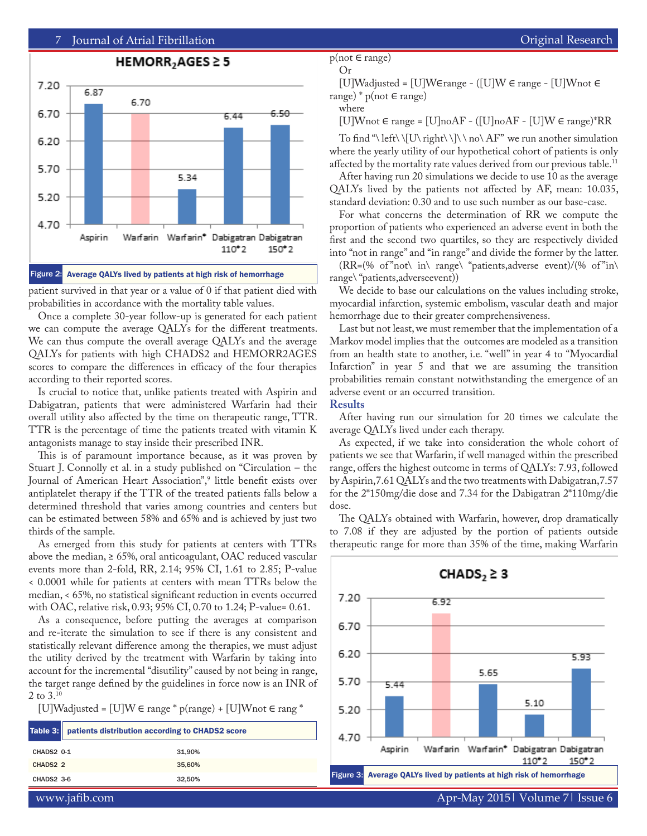

patient survived in that year or a value of 0 if that patient died with probabilities in accordance with the mortality table values.

Once a complete 30-year follow-up is generated for each patient we can compute the average QALYs for the different treatments. We can thus compute the overall average QALYs and the average QALYs for patients with high CHADS2 and HEMORR2AGES scores to compare the differences in efficacy of the four therapies according to their reported scores.

Is crucial to notice that, unlike patients treated with Aspirin and Dabigatran, patients that were administered Warfarin had their overall utility also affected by the time on therapeutic range, TTR. TTR is the percentage of time the patients treated with vitamin K antagonists manage to stay inside their prescribed INR.

This is of paramount importance because, as it was proven by Stuart J. Connolly et al. in a study published on "Circulation – the Journal of American Heart Association",<sup>9</sup> little benefit exists over antiplatelet therapy if the TTR of the treated patients falls below a determined threshold that varies among countries and centers but can be estimated between 58% and 65% and is achieved by just two thirds of the sample.

As emerged from this study for patients at centers with TTRs above the median,  $\geq 65\%$ , oral anticoagulant, OAC reduced vascular events more than 2-fold, RR, 2.14; 95% CI, 1.61 to 2.85; P-value < 0.0001 while for patients at centers with mean TTRs below the median, < 65%, no statistical significant reduction in events occurred with OAC, relative risk, 0.93; 95% CI, 0.70 to 1.24; P-value= 0.61.

As a consequence, before putting the averages at comparison and re-iterate the simulation to see if there is any consistent and statistically relevant difference among the therapies, we must adjust the utility derived by the treatment with Warfarin by taking into account for the incremental "disutility" caused by not being in range, the target range defined by the guidelines in force now is an INR of 2 to 3.10

[U]Wadjusted = [U]W ∈ range \* p(range) + [U]Wnot ∈ rang \*

|            | Table 3:   patients distribution according to CHADS2 score |        |  |
|------------|------------------------------------------------------------|--------|--|
| CHADS2 0-1 |                                                            | 31.90% |  |
| CHADS2 2   |                                                            | 35,60% |  |
| CHADS2 3-6 |                                                            | 32.50% |  |

[U]Wadjusted = [U]W∈range - ([U]W ∈ range - [U]Wnot ∈ range) \*  $p(not \in range)$ 

where

 $[U]W$ not ∈ range =  $[U]$ no $AF - ([U]$ no $AF - [U]W \in range$ <sup>\*</sup>RR

To find "\ left\ \[U\ right\ \]\ \ no\ AF" we run another simulation where the yearly utility of our hypothetical cohort of patients is only affected by the mortality rate values derived from our previous table.<sup>11</sup>

After having run 20 simulations we decide to use 10 as the average QALYs lived by the patients not affected by AF, mean: 10.035, standard deviation: 0.30 and to use such number as our base-case.

For what concerns the determination of RR we compute the proportion of patients who experienced an adverse event in both the first and the second two quartiles, so they are respectively divided into "not in range" and "in range" and divide the former by the latter.

 $(RR=(\% \text{ of } "not\ \in \mathbb{R}) \text{ (space \' patients, adverse event)}/(\% \text{ of } "in\ \mathbb{R})$ range\ "patients,adverseevent))

We decide to base our calculations on the values including stroke, myocardial infarction, systemic embolism, vascular death and major hemorrhage due to their greater comprehensiveness.

Last but not least, we must remember that the implementation of a Markov model implies that the outcomes are modeled as a transition from an health state to another, i.e. "well" in year 4 to "Myocardial Infarction" in year 5 and that we are assuming the transition probabilities remain constant notwithstanding the emergence of an adverse event or an occurred transition.

## **Results**

After having run our simulation for 20 times we calculate the average QALYs lived under each therapy.

As expected, if we take into consideration the whole cohort of patients we see that Warfarin, if well managed within the prescribed range, offers the highest outcome in terms of QALYs: 7.93, followed by Aspirin,7.61 QALYs and the two treatments with Dabigatran,7.57 for the 2\*150mg/die dose and 7.34 for the Dabigatran 2\*110mg/die dose.

The QALYs obtained with Warfarin, however, drop dramatically to 7.08 if they are adjusted by the portion of patients outside therapeutic range for more than 35% of the time, making Warfarin

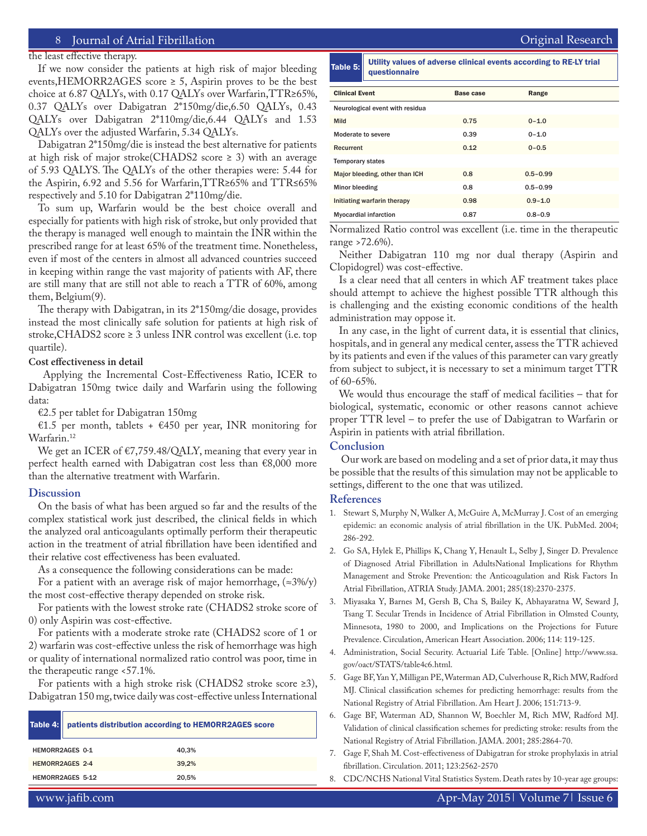the least effective therapy.

If we now consider the patients at high risk of major bleeding events, HEMORR2AGES score  $\geq$  5, Aspirin proves to be the best choice at 6.87 QALYs, with 0.17 QALYs over Warfarin,TTR≥65%, 0.37 QALYs over Dabigatran 2\*150mg/die,6.50 QALYs, 0.43 QALYs over Dabigatran 2\*110mg/die,6.44 QALYs and 1.53 QALYs over the adjusted Warfarin, 5.34 QALYs.

Dabigatran 2\*150mg/die is instead the best alternative for patients at high risk of major stroke(CHADS2 score  $\geq$  3) with an average of 5.93 QALYS. The QALYs of the other therapies were: 5.44 for the Aspirin, 6.92 and 5.56 for Warfarin,TTR≥65% and TTR≤65% respectively and 5.10 for Dabigatran 2\*110mg/die.

To sum up, Warfarin would be the best choice overall and especially for patients with high risk of stroke, but only provided that the therapy is managed well enough to maintain the INR within the prescribed range for at least 65% of the treatment time. Nonetheless, even if most of the centers in almost all advanced countries succeed in keeping within range the vast majority of patients with AF, there are still many that are still not able to reach a TTR of 60%, among them, Belgium(9).

The therapy with Dabigatran, in its 2\*150mg/die dosage, provides instead the most clinically safe solution for patients at high risk of stroke,CHADS2 score ≥ 3 unless INR control was excellent (i.e. top quartile).

#### **Cost effectiveness in detail**

 Applying the Incremental Cost-Effectiveness Ratio, ICER to Dabigatran 150mg twice daily and Warfarin using the following data:

€2.5 per tablet for Dabigatran 150mg

€1.5 per month, tablets + €450 per year, INR monitoring for Warfarin.<sup>12</sup>

We get an ICER of €7,759.48/QALY, meaning that every year in perfect health earned with Dabigatran cost less than €8,000 more than the alternative treatment with Warfarin.

#### **Discussion**

On the basis of what has been argued so far and the results of the complex statistical work just described, the clinical fields in which the analyzed oral anticoagulants optimally perform their therapeutic action in the treatment of atrial fibrillation have been identified and their relative cost effectiveness has been evaluated.

As a consequence the following considerations can be made:

For a patient with an average risk of major hemorrhage,  $(\approx 3\%/y)$ the most cost-effective therapy depended on stroke risk.

For patients with the lowest stroke rate (CHADS2 stroke score of 0) only Aspirin was cost-effective.

For patients with a moderate stroke rate (CHADS2 score of 1 or 2) warfarin was cost-effective unless the risk of hemorrhage was high or quality of international normalized ratio control was poor, time in the therapeutic range <57.1%.

For patients with a high stroke risk (CHADS2 stroke score ≥3), Dabigatran 150 mg, twice daily was cost-effective unless International

|                  | Table 4:   patients distribution according to HEMORR2AGES score |       |  |
|------------------|-----------------------------------------------------------------|-------|--|
|                  | HEMORR2AGES 0-1                                                 | 40.3% |  |
| HEMORR2AGES 2-4  |                                                                 | 39.2% |  |
| HEMORR2AGES 5-12 |                                                                 | 20.5% |  |

Table 5: Utility values of adverse clinical events according to RE-LY trial questionnaire

| <b>Clinical Event</b>           | <b>Base case</b> | Range        |  |  |
|---------------------------------|------------------|--------------|--|--|
| Neurological event with residua |                  |              |  |  |
| Mild                            | 0.75             | $0 - 1.0$    |  |  |
| Moderate to severe              | 0.39             | $0 - 1.0$    |  |  |
| Recurrent                       | 0.12             | $0 - 0.5$    |  |  |
| <b>Temporary states</b>         |                  |              |  |  |
| Major bleeding, other than ICH  | 0.8              | $0.5 - 0.99$ |  |  |
| Minor bleeding                  | 0.8              | $0.5 - 0.99$ |  |  |
| Initiating warfarin therapy     | 0.98             | $0.9 - 1.0$  |  |  |
| <b>Myocardial infarction</b>    | 0.87             | $0.8 - 0.9$  |  |  |

Normalized Ratio control was excellent (i.e. time in the therapeutic range >72.6%).

Neither Dabigatran 110 mg nor dual therapy (Aspirin and Clopidogrel) was cost-effective.

Is a clear need that all centers in which AF treatment takes place should attempt to achieve the highest possible TTR although this is challenging and the existing economic conditions of the health administration may oppose it.

In any case, in the light of current data, it is essential that clinics, hospitals, and in general any medical center, assess the TTR achieved by its patients and even if the values of this parameter can vary greatly from subject to subject, it is necessary to set a minimum target TTR of 60-65%.

We would thus encourage the staff of medical facilities – that for biological, systematic, economic or other reasons cannot achieve proper TTR level – to prefer the use of Dabigatran to Warfarin or Aspirin in patients with atrial fibrillation.

### **Conclusion**

 Our work are based on modeling and a set of prior data, it may thus be possible that the results of this simulation may not be applicable to settings, different to the one that was utilized.

## **References**

- 1. Stewart S, Murphy N, Walker A, McGuire A, McMurray J. Cost of an emerging epidemic: an economic analysis of atrial fibrillation in the UK. PubMed. 2004; 286-292.
- 2. Go SA, Hylek E, Phillips K, Chang Y, Henault L, Selby J, Singer D. Prevalence of Diagnosed Atrial Fibrillation in AdultsNational Implications for Rhythm Management and Stroke Prevention: the Anticoagulation and Risk Factors In Atrial Fibrillation, ATRIA Study. JAMA. 2001; 285(18):2370-2375.
- 3. Miyasaka Y, Barnes M, Gersh B, Cha S, Bailey K, Abhayaratna W, Seward J, Tsang T. Secular Trends in Incidence of Atrial Fibrillation in Olmsted County, Minnesota, 1980 to 2000, and Implications on the Projections for Future Prevalence. Circulation, American Heart Association. 2006; 114: 119-125.
- 4. Administration, Social Security. Actuarial Life Table. [Online] http://www.ssa. gov/oact/STATS/table4c6.html.
- 5. Gage BF, Yan Y, Milligan PE, Waterman AD, Culverhouse R, Rich MW, Radford MJ. Clinical classification schemes for predicting hemorrhage: results from the National Registry of Atrial Fibrillation. Am Heart J. 2006; 151:713-9.
- 6. Gage BF, Waterman AD, Shannon W, Boechler M, Rich MW, Radford MJ. Validation of clinical classification schemes for predicting stroke: results from the National Registry of Atrial Fibrillation. JAMA. 2001; 285:2864-70.
- 7. Gage F, Shah M. Cost-effectiveness of Dabigatran for stroke prophylaxis in atrial fibrillation. Circulation. 2011; 123:2562-2570
- 8. CDC/NCHS National Vital Statistics System. Death rates by 10-year age groups: